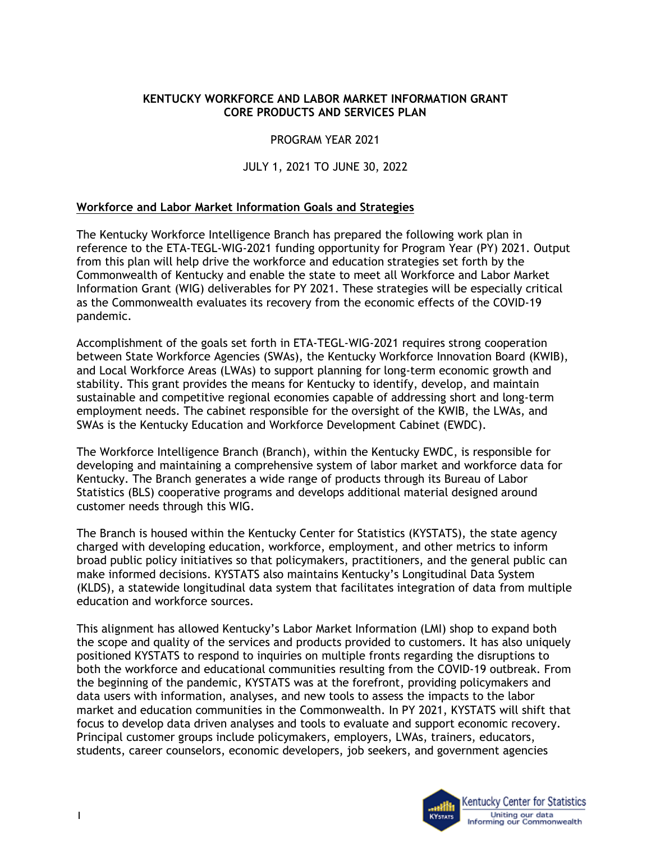### **KENTUCKY WORKFORCE AND LABOR MARKET INFORMATION GRANT CORE PRODUCTS AND SERVICES PLAN**

### PROGRAM YEAR 2021

### JULY 1, 2021 TO JUNE 30, 2022

#### **Workforce and Labor Market Information Goals and Strategies**

The Kentucky Workforce Intelligence Branch has prepared the following work plan in reference to the ETA-TEGL-WIG-2021 funding opportunity for Program Year (PY) 2021. Output from this plan will help drive the workforce and education strategies set forth by the Commonwealth of Kentucky and enable the state to meet all Workforce and Labor Market Information Grant (WIG) deliverables for PY 2021. These strategies will be especially critical as the Commonwealth evaluates its recovery from the economic effects of the COVID-19 pandemic.

Accomplishment of the goals set forth in ETA-TEGL-WIG-2021 requires strong cooperation between State Workforce Agencies (SWAs), the Kentucky Workforce Innovation Board (KWIB), and Local Workforce Areas (LWAs) to support planning for long-term economic growth and stability. This grant provides the means for Kentucky to identify, develop, and maintain sustainable and competitive regional economies capable of addressing short and long-term employment needs. The cabinet responsible for the oversight of the KWIB, the LWAs, and SWAs is the Kentucky Education and Workforce Development Cabinet (EWDC).

The Workforce Intelligence Branch (Branch), within the Kentucky EWDC, is responsible for developing and maintaining a comprehensive system of labor market and workforce data for Kentucky. The Branch generates a wide range of products through its Bureau of Labor Statistics (BLS) cooperative programs and develops additional material designed around customer needs through this WIG.

The Branch is housed within the Kentucky Center for Statistics (KYSTATS), the state agency charged with developing education, workforce, employment, and other metrics to inform broad public policy initiatives so that policymakers, practitioners, and the general public can make informed decisions. KYSTATS also maintains Kentucky's Longitudinal Data System (KLDS), a statewide longitudinal data system that facilitates integration of data from multiple education and workforce sources.

This alignment has allowed Kentucky's Labor Market Information (LMI) shop to expand both the scope and quality of the services and products provided to customers. It has also uniquely positioned KYSTATS to respond to inquiries on multiple fronts regarding the disruptions to both the workforce and educational communities resulting from the COVID-19 outbreak. From the beginning of the pandemic, KYSTATS was at the forefront, providing policymakers and data users with information, analyses, and new tools to assess the impacts to the labor market and education communities in the Commonwealth. In PY 2021, KYSTATS will shift that focus to develop data driven analyses and tools to evaluate and support economic recovery. Principal customer groups include policymakers, employers, LWAs, trainers, educators, students, career counselors, economic developers, job seekers, and government agencies

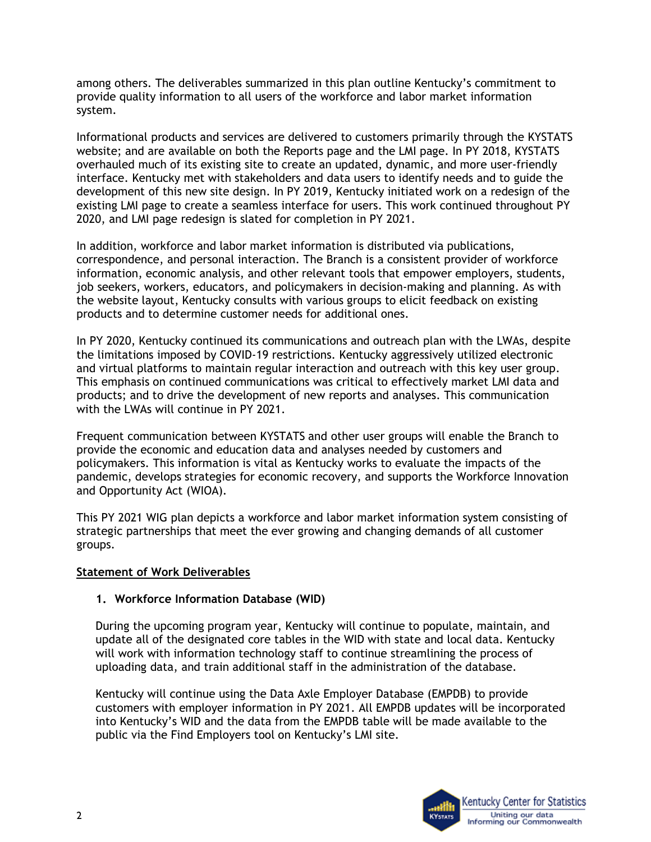among others. The deliverables summarized in this plan outline Kentucky's commitment to provide quality information to all users of the workforce and labor market information system.

Informational products and services are delivered to customers primarily through the KYSTATS website; and are available on both the Reports page and the LMI page. In PY 2018, KYSTATS overhauled much of its existing site to create an updated, dynamic, and more user-friendly interface. Kentucky met with stakeholders and data users to identify needs and to guide the development of this new site design. In PY 2019, Kentucky initiated work on a redesign of the existing LMI page to create a seamless interface for users. This work continued throughout PY 2020, and LMI page redesign is slated for completion in PY 2021.

In addition, workforce and labor market information is distributed via publications, correspondence, and personal interaction. The Branch is a consistent provider of workforce information, economic analysis, and other relevant tools that empower employers, students, job seekers, workers, educators, and policymakers in decision-making and planning. As with the website layout, Kentucky consults with various groups to elicit feedback on existing products and to determine customer needs for additional ones.

In PY 2020, Kentucky continued its communications and outreach plan with the LWAs, despite the limitations imposed by COVID-19 restrictions. Kentucky aggressively utilized electronic and virtual platforms to maintain regular interaction and outreach with this key user group. This emphasis on continued communications was critical to effectively market LMI data and products; and to drive the development of new reports and analyses. This communication with the LWAs will continue in PY 2021.

Frequent communication between KYSTATS and other user groups will enable the Branch to provide the economic and education data and analyses needed by customers and policymakers. This information is vital as Kentucky works to evaluate the impacts of the pandemic, develops strategies for economic recovery, and supports the Workforce Innovation and Opportunity Act (WIOA).

This PY 2021 WIG plan depicts a workforce and labor market information system consisting of strategic partnerships that meet the ever growing and changing demands of all customer groups.

### **Statement of Work Deliverables**

# **1. Workforce Information Database (WID)**

During the upcoming program year, Kentucky will continue to populate, maintain, and update all of the designated core tables in the WID with state and local data. Kentucky will work with information technology staff to continue streamlining the process of uploading data, and train additional staff in the administration of the database.

Kentucky will continue using the Data Axle Employer Database (EMPDB) to provide customers with employer information in PY 2021. All EMPDB updates will be incorporated into Kentucky's WID and the data from the EMPDB table will be made available to the public via the Find Employers tool on Kentucky's LMI site.

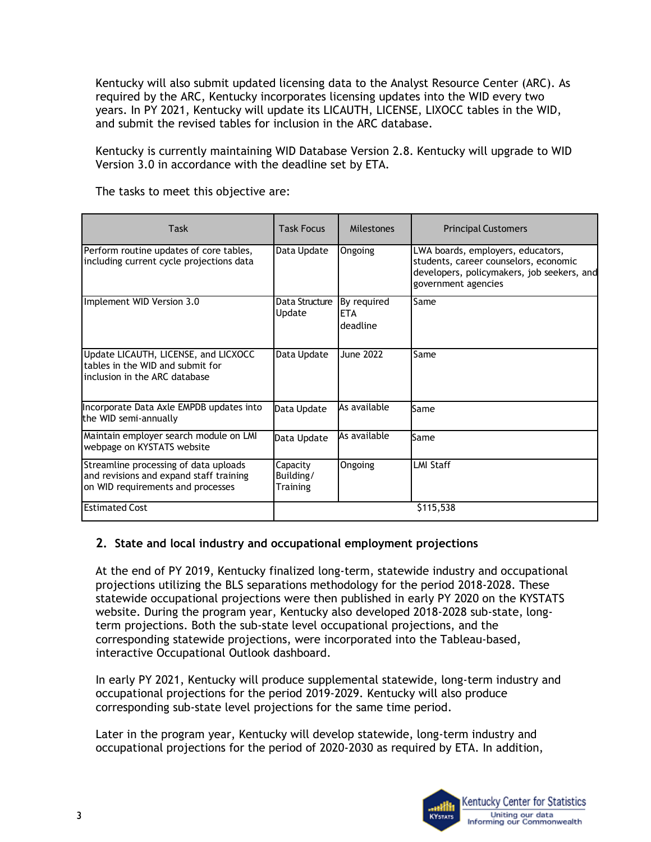Kentucky will also submit updated licensing data to the Analyst Resource Center (ARC). As required by the ARC, Kentucky incorporates licensing updates into the WID every two years. In PY 2021, Kentucky will update its LICAUTH, LICENSE, LIXOCC tables in the WID, and submit the revised tables for inclusion in the ARC database.

Kentucky is currently maintaining WID Database Version 2.8. Kentucky will upgrade to WID Version 3.0 in accordance with the deadline set by ETA.

| Task                                                                                                                  | <b>Task Focus</b>                        | <b>Milestones</b>                     | <b>Principal Customers</b>                                                                                                                      |
|-----------------------------------------------------------------------------------------------------------------------|------------------------------------------|---------------------------------------|-------------------------------------------------------------------------------------------------------------------------------------------------|
| Perform routine updates of core tables,<br>including current cycle projections data                                   | Data Update                              | Ongoing                               | LWA boards, employers, educators,<br>students, career counselors, economic<br>developers, policymakers, job seekers, and<br>government agencies |
| Implement WID Version 3.0                                                                                             | Data Structure<br>Update                 | By required<br><b>ETA</b><br>deadline | Same                                                                                                                                            |
| Update LICAUTH, LICENSE, and LICXOCC<br>tables in the WID and submit for<br>inclusion in the ARC database             | Data Update                              | <b>June 2022</b>                      | Same                                                                                                                                            |
| Incorporate Data Axle EMPDB updates into<br>the WID semi-annually                                                     | Data Update                              | As available                          | Same                                                                                                                                            |
| Maintain employer search module on LMI<br>webpage on KYSTATS website                                                  | Data Update                              | As available                          | Same                                                                                                                                            |
| Streamline processing of data uploads<br>and revisions and expand staff training<br>on WID requirements and processes | Capacity<br>Building/<br><b>Training</b> | Ongoing                               | <b>LMI Staff</b>                                                                                                                                |
| <b>Estimated Cost</b>                                                                                                 |                                          |                                       | \$115,538                                                                                                                                       |

The tasks to meet this objective are:

# **2. State and local industry and occupational employment projections**

At the end of PY 2019, Kentucky finalized long-term, statewide industry and occupational projections utilizing the BLS separations methodology for the period 2018-2028. These statewide occupational projections were then published in early PY 2020 on the KYSTATS website. During the program year, Kentucky also developed 2018-2028 sub-state, longterm projections. Both the sub-state level occupational projections, and the corresponding statewide projections, were incorporated into the Tableau-based, interactive Occupational Outlook dashboard.

In early PY 2021, Kentucky will produce supplemental statewide, long-term industry and occupational projections for the period 2019-2029. Kentucky will also produce corresponding sub-state level projections for the same time period.

Later in the program year, Kentucky will develop statewide, long-term industry and occupational projections for the period of 2020-2030 as required by ETA. In addition,

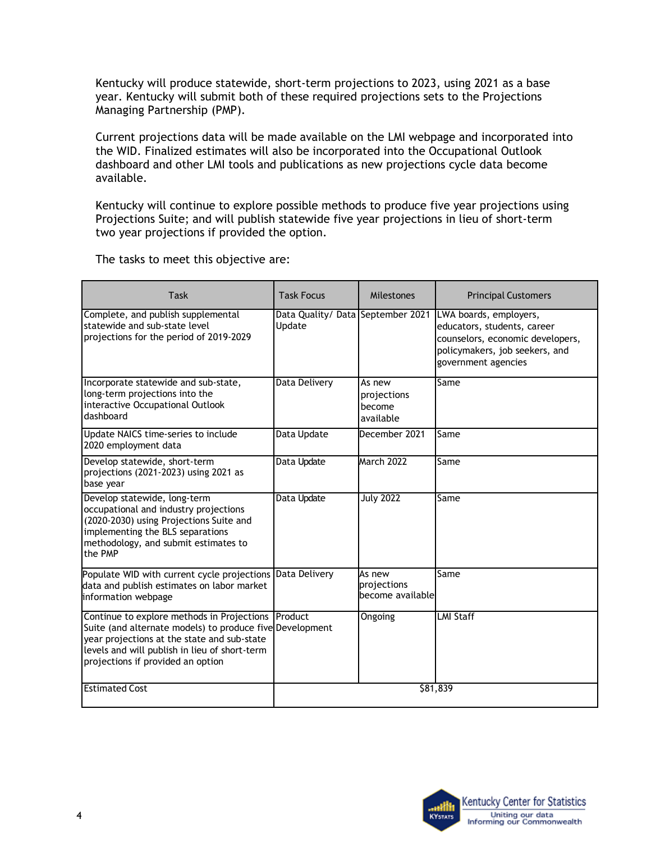Kentucky will produce statewide, short-term projections to 2023, using 2021 as a base year. Kentucky will submit both of these required projections sets to the Projections Managing Partnership (PMP).

Current projections data will be made available on the LMI webpage and incorporated into the WID. Finalized estimates will also be incorporated into the Occupational Outlook dashboard and other LMI tools and publications as new projections cycle data become available.

Kentucky will continue to explore possible methods to produce five year projections using Projections Suite; and will publish statewide five year projections in lieu of short-term two year projections if provided the option.

| Task                                                                                                                                                                                                                                        | <b>Task Focus</b> | Milestones                                   | <b>Principal Customers</b>                                                                                                                                                           |
|---------------------------------------------------------------------------------------------------------------------------------------------------------------------------------------------------------------------------------------------|-------------------|----------------------------------------------|--------------------------------------------------------------------------------------------------------------------------------------------------------------------------------------|
| Complete, and publish supplemental<br>statewide and sub-state level<br>projections for the period of 2019-2029                                                                                                                              | Update            |                                              | Data Quality/ Data September 2021 LWA boards, employers,<br>educators, students, career<br>counselors, economic developers,<br>policymakers, job seekers, and<br>government agencies |
| Incorporate statewide and sub-state,<br>long-term projections into the<br>interactive Occupational Outlook<br>dashboard                                                                                                                     | Data Delivery     | As new<br>projections<br>become<br>available | Same                                                                                                                                                                                 |
| Update NAICS time-series to include<br>2020 employment data                                                                                                                                                                                 | Data Update       | December 2021                                | Same                                                                                                                                                                                 |
| Develop statewide, short-term<br>projections (2021-2023) using 2021 as<br>base year                                                                                                                                                         | Data Update       | <b>March 2022</b>                            | Same                                                                                                                                                                                 |
| Develop statewide, long-term<br>occupational and industry projections<br>(2020-2030) using Projections Suite and<br>implementing the BLS separations<br>methodology, and submit estimates to<br>the PMP                                     | Data Update       | <b>July 2022</b>                             | Same                                                                                                                                                                                 |
| Populate WID with current cycle projections Data Delivery<br>data and publish estimates on labor market<br>information webpage                                                                                                              |                   | As new<br>projections<br>become available    | Same                                                                                                                                                                                 |
| Continue to explore methods in Projections<br>Suite (and alternate models) to produce five Development<br>year projections at the state and sub-state<br>levels and will publish in lieu of short-term<br>projections if provided an option | Product           | Ongoing                                      | <b>LMI Staff</b>                                                                                                                                                                     |
| <b>Estimated Cost</b>                                                                                                                                                                                                                       |                   |                                              | \$81,839                                                                                                                                                                             |

The tasks to meet this objective are:

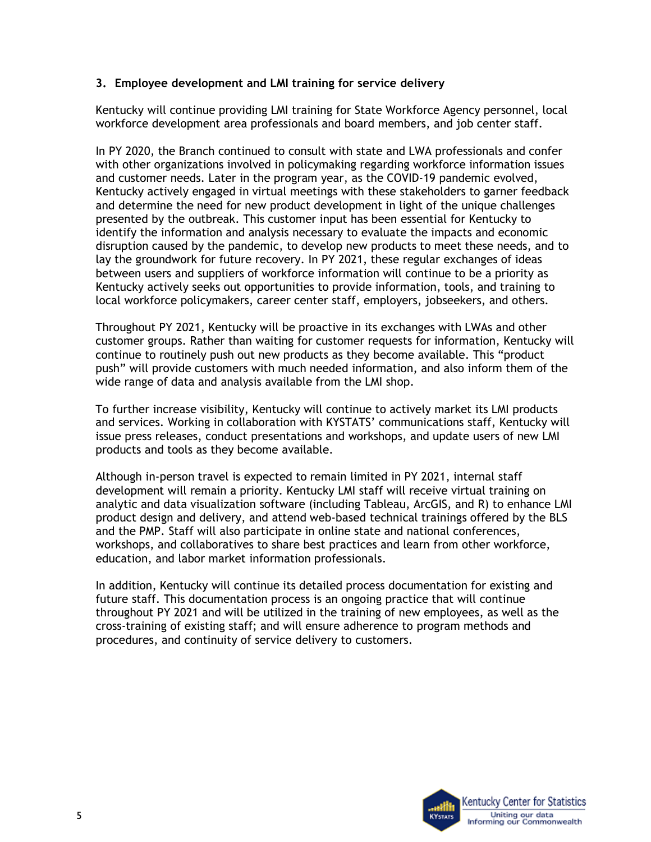### **3. Employee development and LMI training for service delivery**

Kentucky will continue providing LMI training for State Workforce Agency personnel, local workforce development area professionals and board members, and job center staff.

In PY 2020, the Branch continued to consult with state and LWA professionals and confer with other organizations involved in policymaking regarding workforce information issues and customer needs. Later in the program year, as the COVID-19 pandemic evolved, Kentucky actively engaged in virtual meetings with these stakeholders to garner feedback and determine the need for new product development in light of the unique challenges presented by the outbreak. This customer input has been essential for Kentucky to identify the information and analysis necessary to evaluate the impacts and economic disruption caused by the pandemic, to develop new products to meet these needs, and to lay the groundwork for future recovery. In PY 2021, these regular exchanges of ideas between users and suppliers of workforce information will continue to be a priority as Kentucky actively seeks out opportunities to provide information, tools, and training to local workforce policymakers, career center staff, employers, jobseekers, and others.

Throughout PY 2021, Kentucky will be proactive in its exchanges with LWAs and other customer groups. Rather than waiting for customer requests for information, Kentucky will continue to routinely push out new products as they become available. This "product push" will provide customers with much needed information, and also inform them of the wide range of data and analysis available from the LMI shop.

To further increase visibility, Kentucky will continue to actively market its LMI products and services. Working in collaboration with KYSTATS' communications staff, Kentucky will issue press releases, conduct presentations and workshops, and update users of new LMI products and tools as they become available.

Although in-person travel is expected to remain limited in PY 2021, internal staff development will remain a priority. Kentucky LMI staff will receive virtual training on analytic and data visualization software (including Tableau, ArcGIS, and R) to enhance LMI product design and delivery, and attend web-based technical trainings offered by the BLS and the PMP. Staff will also participate in online state and national conferences, workshops, and collaboratives to share best practices and learn from other workforce, education, and labor market information professionals.

In addition, Kentucky will continue its detailed process documentation for existing and future staff. This documentation process is an ongoing practice that will continue throughout PY 2021 and will be utilized in the training of new employees, as well as the cross-training of existing staff; and will ensure adherence to program methods and procedures, and continuity of service delivery to customers.

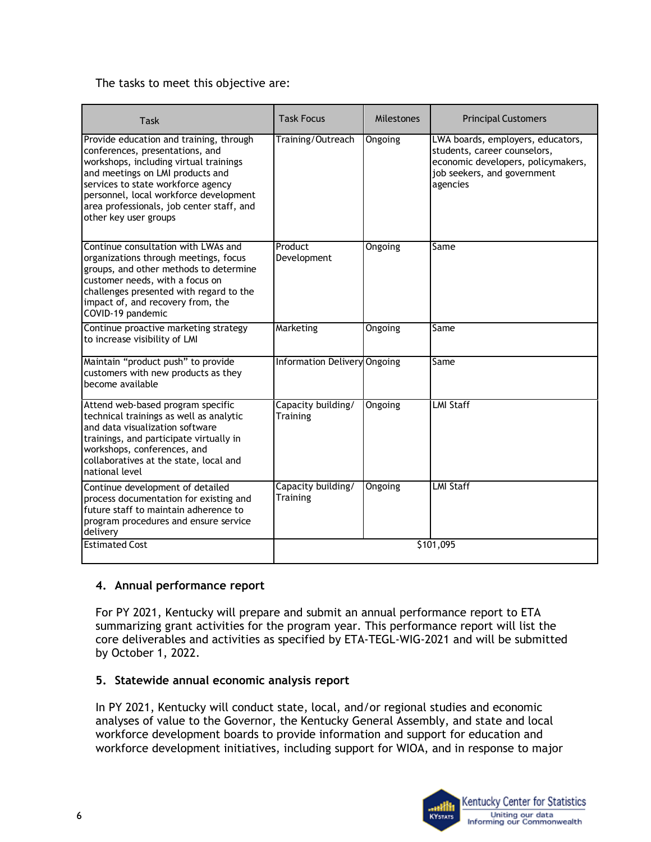The tasks to meet this objective are:

| <b>Task</b>                                                                                                                                                                                                                                                                                                    | <b>Task Focus</b>                     | Milestones | <b>Principal Customers</b>                                                                                                                         |
|----------------------------------------------------------------------------------------------------------------------------------------------------------------------------------------------------------------------------------------------------------------------------------------------------------------|---------------------------------------|------------|----------------------------------------------------------------------------------------------------------------------------------------------------|
| Provide education and training, through<br>conferences, presentations, and<br>workshops, including virtual trainings<br>and meetings on LMI products and<br>services to state workforce agency<br>personnel, local workforce development<br>area professionals, job center staff, and<br>other key user groups | Training/Outreach                     | Ongoing    | LWA boards, employers, educators,<br>students, career counselors,<br>economic developers, policymakers,<br>job seekers, and government<br>agencies |
| Continue consultation with LWAs and<br>organizations through meetings, focus<br>groups, and other methods to determine<br>customer needs, with a focus on<br>challenges presented with regard to the<br>impact of, and recovery from, the<br>COVID-19 pandemic                                                 | Product<br>Development                | Ongoing    | Same                                                                                                                                               |
| Continue proactive marketing strategy<br>to increase visibility of LMI                                                                                                                                                                                                                                         | Marketing                             | Ongoing    | <b>Same</b>                                                                                                                                        |
| Maintain "product push" to provide<br>customers with new products as they<br>become available                                                                                                                                                                                                                  | <b>Information Delivery Ongoing</b>   |            | Same                                                                                                                                               |
| Attend web-based program specific<br>technical trainings as well as analytic<br>and data visualization software<br>trainings, and participate virtually in<br>workshops, conferences, and<br>collaboratives at the state, local and<br>national level                                                          | Capacity building/<br><b>Training</b> | Ongoing    | <b>LMI Staff</b>                                                                                                                                   |
| Continue development of detailed<br>process documentation for existing and<br>future staff to maintain adherence to<br>program procedures and ensure service<br>delivery                                                                                                                                       | Capacity building/<br><b>Training</b> | Ongoing    | <b>LMI Staff</b>                                                                                                                                   |
| <b>Estimated Cost</b>                                                                                                                                                                                                                                                                                          | \$101,095                             |            |                                                                                                                                                    |

### **4. Annual performance report**

For PY 2021, Kentucky will prepare and submit an annual performance report to ETA summarizing grant activities for the program year. This performance report will list the core deliverables and activities as specified by ETA-TEGL-WIG-2021 and will be submitted by October 1, 2022.

### **5. Statewide annual economic analysis report**

In PY 2021, Kentucky will conduct state, local, and/or regional studies and economic analyses of value to the Governor, the Kentucky General Assembly, and state and local workforce development boards to provide information and support for education and workforce development initiatives, including support for WIOA, and in response to major

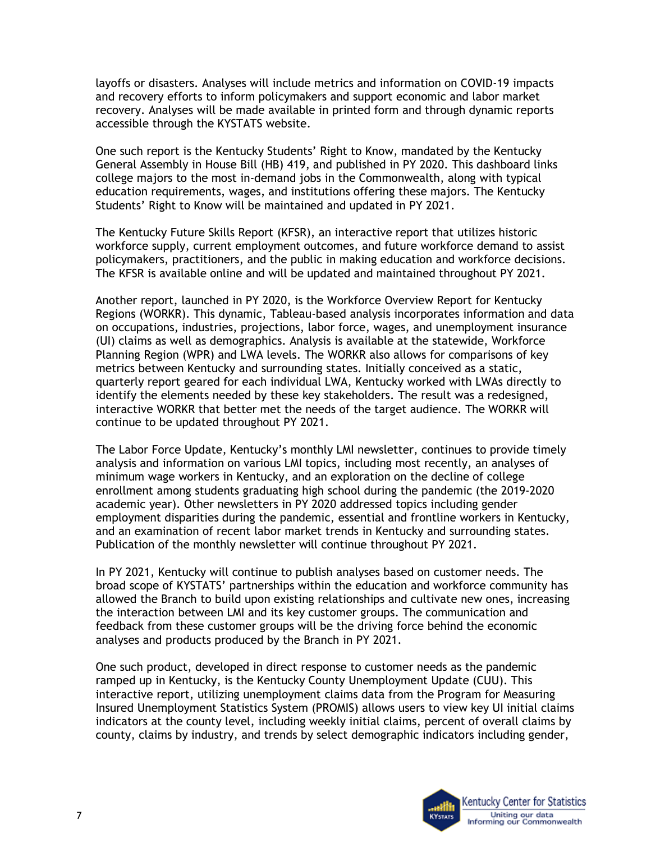layoffs or disasters. Analyses will include metrics and information on COVID-19 impacts and recovery efforts to inform policymakers and support economic and labor market recovery. Analyses will be made available in printed form and through dynamic reports accessible through the KYSTATS website.

One such report is the Kentucky Students' Right to Know, mandated by the Kentucky General Assembly in House Bill (HB) 419, and published in PY 2020. This dashboard links college majors to the most in-demand jobs in the Commonwealth, along with typical education requirements, wages, and institutions offering these majors. The Kentucky Students' Right to Know will be maintained and updated in PY 2021.

The Kentucky Future Skills Report (KFSR), an interactive report that utilizes historic workforce supply, current employment outcomes, and future workforce demand to assist policymakers, practitioners, and the public in making education and workforce decisions. The KFSR is available online and will be updated and maintained throughout PY 2021.

Another report, launched in PY 2020, is the Workforce Overview Report for Kentucky Regions (WORKR). This dynamic, Tableau-based analysis incorporates information and data on occupations, industries, projections, labor force, wages, and unemployment insurance (UI) claims as well as demographics. Analysis is available at the statewide, Workforce Planning Region (WPR) and LWA levels. The WORKR also allows for comparisons of key metrics between Kentucky and surrounding states. Initially conceived as a static, quarterly report geared for each individual LWA, Kentucky worked with LWAs directly to identify the elements needed by these key stakeholders. The result was a redesigned, interactive WORKR that better met the needs of the target audience. The WORKR will continue to be updated throughout PY 2021.

The Labor Force Update, Kentucky's monthly LMI newsletter, continues to provide timely analysis and information on various LMI topics, including most recently, an analyses of minimum wage workers in Kentucky, and an exploration on the decline of college enrollment among students graduating high school during the pandemic (the 2019-2020 academic year). Other newsletters in PY 2020 addressed topics including gender employment disparities during the pandemic, essential and frontline workers in Kentucky, and an examination of recent labor market trends in Kentucky and surrounding states. Publication of the monthly newsletter will continue throughout PY 2021.

In PY 2021, Kentucky will continue to publish analyses based on customer needs. The broad scope of KYSTATS' partnerships within the education and workforce community has allowed the Branch to build upon existing relationships and cultivate new ones, increasing the interaction between LMI and its key customer groups. The communication and feedback from these customer groups will be the driving force behind the economic analyses and products produced by the Branch in PY 2021.

One such product, developed in direct response to customer needs as the pandemic ramped up in Kentucky, is the Kentucky County Unemployment Update (CUU). This interactive report, utilizing unemployment claims data from the Program for Measuring Insured Unemployment Statistics System (PROMIS) allows users to view key UI initial claims indicators at the county level, including weekly initial claims, percent of overall claims by county, claims by industry, and trends by select demographic indicators including gender,

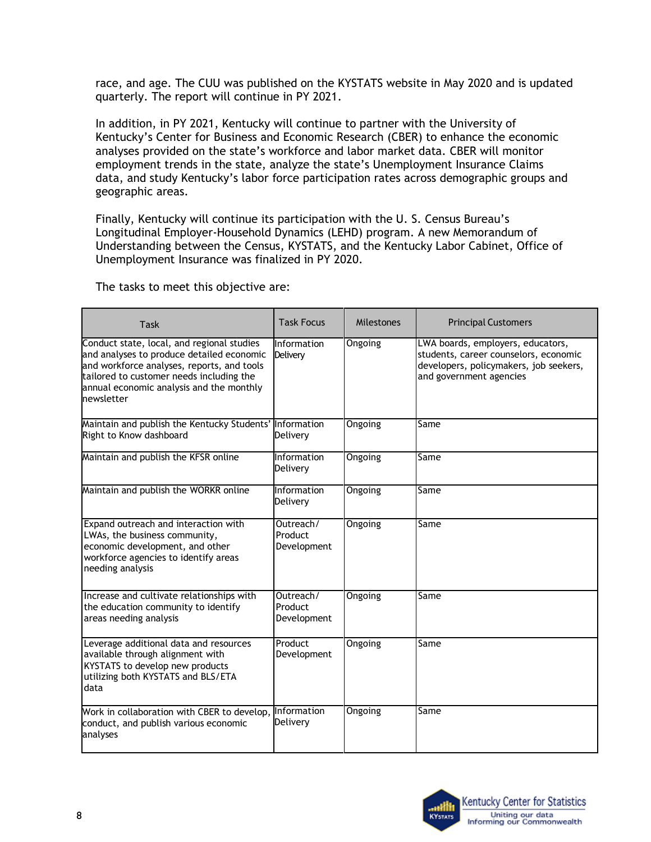race, and age. The CUU was published on the KYSTATS website in May 2020 and is updated quarterly. The report will continue in PY 2021.

In addition, in PY 2021, Kentucky will continue to partner with the University of Kentucky's Center for Business and Economic Research (CBER) to enhance the economic analyses provided on the state's workforce and labor market data. CBER will monitor employment trends in the state, analyze the state's Unemployment Insurance Claims data, and study Kentucky's labor force participation rates across demographic groups and geographic areas.

Finally, Kentucky will continue its participation with the U. S. Census Bureau's Longitudinal Employer-Household Dynamics (LEHD) program. A new Memorandum of Understanding between the Census, KYSTATS, and the Kentucky Labor Cabinet, Office of Unemployment Insurance was finalized in PY 2020.

The tasks to meet this objective are:

| <b>Task</b>                                                                                                                                                                                                                                 | <b>Task Focus</b>                   | Milestones     | <b>Principal Customers</b>                                                                                                                      |
|---------------------------------------------------------------------------------------------------------------------------------------------------------------------------------------------------------------------------------------------|-------------------------------------|----------------|-------------------------------------------------------------------------------------------------------------------------------------------------|
| Conduct state, local, and regional studies<br>and analyses to produce detailed economic<br>and workforce analyses, reports, and tools<br>tailored to customer needs including the<br>annual economic analysis and the monthly<br>newsletter | Information<br>Delivery             | Ongoing        | LWA boards, employers, educators,<br>students, career counselors, economic<br>developers, policymakers, job seekers,<br>and government agencies |
| Maintain and publish the Kentucky Students' Information<br>Right to Know dashboard                                                                                                                                                          | Delivery                            | Ongoing        | Same                                                                                                                                            |
| Maintain and publish the KFSR online                                                                                                                                                                                                        | Information<br>Delivery             | <b>Ongoing</b> | Same                                                                                                                                            |
| Maintain and publish the WORKR online                                                                                                                                                                                                       | Information<br>Delivery             | Ongoing        | Same                                                                                                                                            |
| Expand outreach and interaction with<br>LWAs, the business community,<br>economic development, and other<br>workforce agencies to identify areas<br>needing analysis                                                                        | Outreach/<br>Product<br>Development | Ongoing        | Same                                                                                                                                            |
| Increase and cultivate relationships with<br>the education community to identify<br>areas needing analysis                                                                                                                                  | Outreach/<br>Product<br>Development | Ongoing        | Same                                                                                                                                            |
| Leverage additional data and resources<br>available through alignment with<br>KYSTATS to develop new products<br>utilizing both KYSTATS and BLS/ETA<br>data                                                                                 | Product<br>Development              | Ongoing        | Same                                                                                                                                            |
| Work in collaboration with CBER to develop,<br>conduct, and publish various economic<br>analyses                                                                                                                                            | Information<br>Delivery             | Ongoing        | Same                                                                                                                                            |

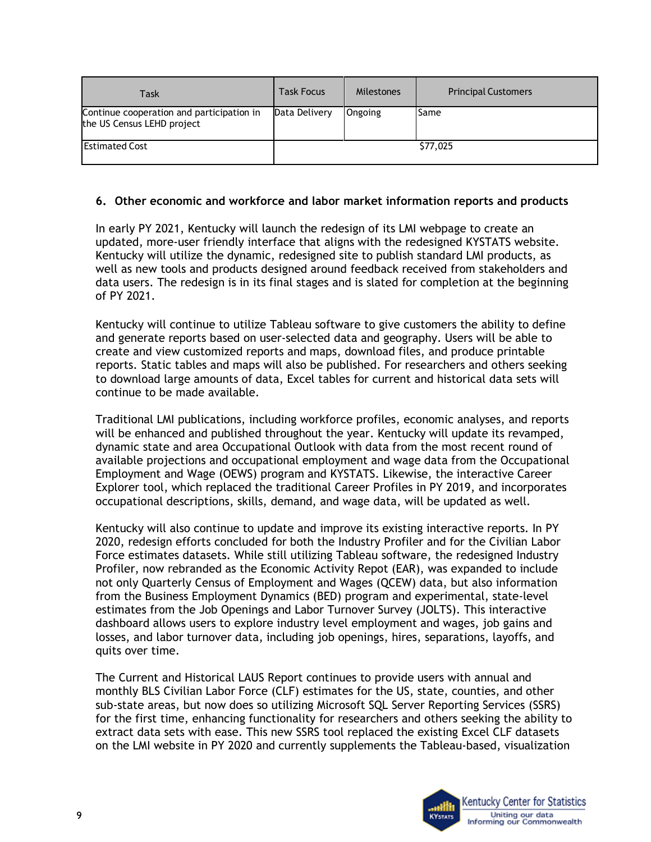| Task                                                                    | <b>Task Focus</b> | Milestones | <b>Principal Customers</b> |
|-------------------------------------------------------------------------|-------------------|------------|----------------------------|
| Continue cooperation and participation in<br>the US Census LEHD project | Data Delivery     | Ongoing    | Same                       |
| <b>Estimated Cost</b>                                                   |                   |            | \$77,025                   |

### **6. Other economic and workforce and labor market information reports and products**

In early PY 2021, Kentucky will launch the redesign of its LMI webpage to create an updated, more-user friendly interface that aligns with the redesigned KYSTATS website. Kentucky will utilize the dynamic, redesigned site to publish standard LMI products, as well as new tools and products designed around feedback received from stakeholders and data users. The redesign is in its final stages and is slated for completion at the beginning of PY 2021.

Kentucky will continue to utilize Tableau software to give customers the ability to define and generate reports based on user-selected data and geography. Users will be able to create and view customized reports and maps, download files, and produce printable reports. Static tables and maps will also be published. For researchers and others seeking to download large amounts of data, Excel tables for current and historical data sets will continue to be made available.

Traditional LMI publications, including workforce profiles, economic analyses, and reports will be enhanced and published throughout the year. Kentucky will update its revamped, dynamic state and area Occupational Outlook with data from the most recent round of available projections and occupational employment and wage data from the Occupational Employment and Wage (OEWS) program and KYSTATS. Likewise, the interactive Career Explorer tool, which replaced the traditional Career Profiles in PY 2019, and incorporates occupational descriptions, skills, demand, and wage data, will be updated as well.

Kentucky will also continue to update and improve its existing interactive reports. In PY 2020, redesign efforts concluded for both the Industry Profiler and for the Civilian Labor Force estimates datasets. While still utilizing Tableau software, the redesigned Industry Profiler, now rebranded as the Economic Activity Repot (EAR), was expanded to include not only Quarterly Census of Employment and Wages (QCEW) data, but also information from the Business Employment Dynamics (BED) program and experimental, state-level estimates from the Job Openings and Labor Turnover Survey (JOLTS). This interactive dashboard allows users to explore industry level employment and wages, job gains and losses, and labor turnover data, including job openings, hires, separations, layoffs, and quits over time.

The Current and Historical LAUS Report continues to provide users with annual and monthly BLS Civilian Labor Force (CLF) estimates for the US, state, counties, and other sub-state areas, but now does so utilizing Microsoft SQL Server Reporting Services (SSRS) for the first time, enhancing functionality for researchers and others seeking the ability to extract data sets with ease. This new SSRS tool replaced the existing Excel CLF datasets on the LMI website in PY 2020 and currently supplements the Tableau-based, visualization

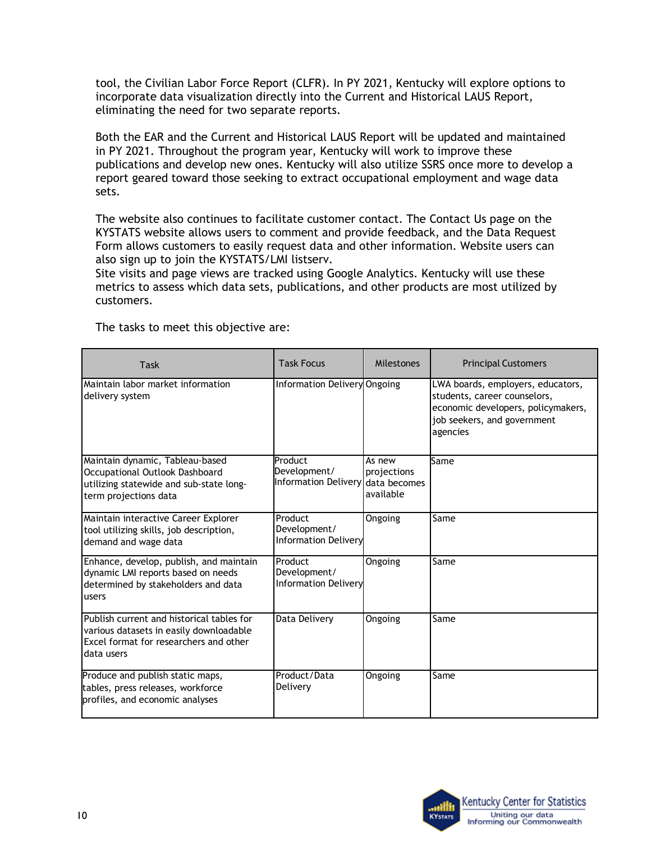tool, the Civilian Labor Force Report (CLFR). In PY 2021, Kentucky will explore options to incorporate data visualization directly into the Current and Historical LAUS Report, eliminating the need for two separate reports.

Both the EAR and the Current and Historical LAUS Report will be updated and maintained in PY 2021. Throughout the program year, Kentucky will work to improve these publications and develop new ones. Kentucky will also utilize SSRS once more to develop a report geared toward those seeking to extract occupational employment and wage data sets.

The website also continues to facilitate customer contact. The Contact Us page on the KYSTATS website allows users to comment and provide feedback, and the Data Request Form allows customers to easily request data and other information. Website users can also sign up to join the KYSTATS/LMI listserv.

Site visits and page views are tracked using Google Analytics. Kentucky will use these metrics to assess which data sets, publications, and other products are most utilized by customers.

| Task                                                                                                                                         | <b>Task Focus</b>                                            | Milestones                         | <b>Principal Customers</b>                                                                                                                         |
|----------------------------------------------------------------------------------------------------------------------------------------------|--------------------------------------------------------------|------------------------------------|----------------------------------------------------------------------------------------------------------------------------------------------------|
| Maintain labor market information<br>delivery system                                                                                         | Information Delivery Ongoing                                 |                                    | LWA boards, employers, educators,<br>students, career counselors,<br>economic developers, policymakers,<br>job seekers, and government<br>agencies |
| Maintain dynamic, Tableau-based<br>Occupational Outlook Dashboard<br>utilizing statewide and sub-state long-<br>term projections data        | Product<br>Development/<br>Information Delivery data becomes | As new<br>projections<br>available | Same                                                                                                                                               |
| Maintain interactive Career Explorer<br>tool utilizing skills, job description,<br>demand and wage data                                      | Product<br>Development/<br><b>Information Deliverv</b>       | Ongoing                            | Same                                                                                                                                               |
| Enhance, develop, publish, and maintain<br>dynamic LMI reports based on needs<br>determined by stakeholders and data<br>users                | Product<br>Development/<br><b>Information Delivery</b>       | Ongoing                            | Same                                                                                                                                               |
| Publish current and historical tables for<br>various datasets in easily downloadable<br>Excel format for researchers and other<br>data users | Data Delivery                                                | Ongoing                            | Same                                                                                                                                               |
| Produce and publish static maps,<br>tables, press releases, workforce<br>profiles, and economic analyses                                     | Product/Data<br>Delivery                                     | Ongoing                            | Same                                                                                                                                               |

The tasks to meet this objective are: